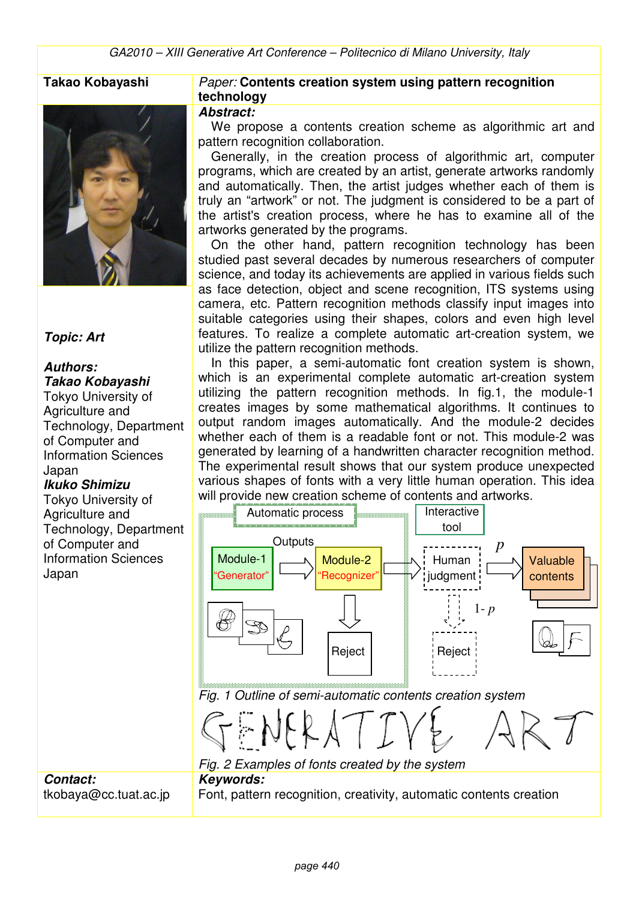

#### **Topic: Art**

#### **Authors: Takao Kobayashi**

Tokyo University of Agriculture and Technology, Department of Computer and Information Sciences Japan

## **Ikuko Shimizu**

**Contact:** 

tkobaya@cc.tuat.ac.jp

Tokyo University of Agriculture and Technology, Department of Computer and Information Sciences Japan

#### **Takao Kobayashi** Paper: **Contents creation system using pattern recognition technology**

#### **Abstract:**

We propose a contents creation scheme as algorithmic art and pattern recognition collaboration.

Generally, in the creation process of algorithmic art, computer programs, which are created by an artist, generate artworks randomly and automatically. Then, the artist judges whether each of them is truly an "artwork" or not. The judgment is considered to be a part of the artist's creation process, where he has to examine all of the artworks generated by the programs.

On the other hand, pattern recognition technology has been studied past several decades by numerous researchers of computer science, and today its achievements are applied in various fields such as face detection, object and scene recognition, ITS systems using camera, etc. Pattern recognition methods classify input images into suitable categories using their shapes, colors and even high level features. To realize a complete automatic art-creation system, we utilize the pattern recognition methods.

In this paper, a semi-automatic font creation system is shown, which is an experimental complete automatic art-creation system utilizing the pattern recognition methods. In fig.1, the module-1 creates images by some mathematical algorithms. It continues to output random images automatically. And the module-2 decides whether each of them is a readable font or not. This module-2 was generated by learning of a handwritten character recognition method. The experimental result shows that our system produce unexpected various shapes of fonts with a very little human operation. This idea will provide new creation scheme of contents and artworks.



*page 440*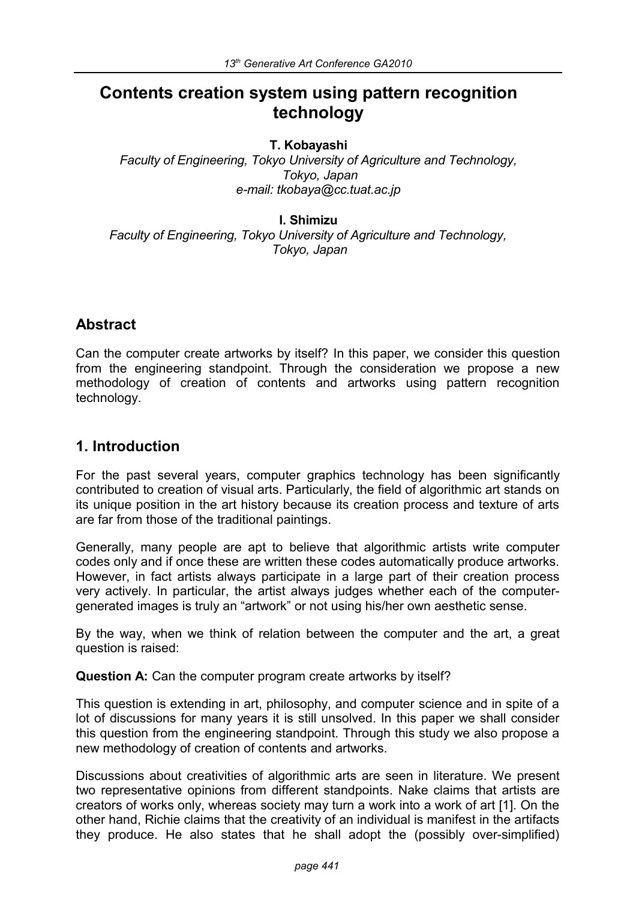# **Contents creation system using pattern recognition technology**

## **T. Kobayashi**

*Faculty of Engineering, Tokyo University of Agriculture and Technology, Tokyo, Japan e-mail: tkobaya@cc.tuat.ac.jp*

#### **I. Shimizu**

*Faculty of Engineering, Tokyo University of Agriculture and Technology, Tokyo, Japan*

# **Abstract**

Can the computer create artworks by itself? In this paper, we consider this question from the engineering standpoint. Through the consideration we propose a new methodology of creation of contents and artworks using pattern recognition technology.

# **1. Introduction**

For the past several years, computer graphics technology has been significantly contributed to creation of visual arts. Particularly, the field of algorithmic art stands on its unique position in the art history because its creation process and texture of arts are far from those of the traditional paintings.

Generally, many people are apt to believe that algorithmic artists write computer codes only and if once these are written these codes automatically produce artworks. However, in fact artists always participate in a large part of their creation process very actively. In particular, the artist always judges whether each of the computergenerated images is truly an "artwork" or not using his/her own aesthetic sense.

By the way, when we think of relation between the computer and the art, a great question is raised:

**Question A:** Can the computer program create artworks by itself?

This question is extending in art, philosophy, and computer science and in spite of a lot of discussions for many years it is still unsolved. In this paper we shall consider this question from the engineering standpoint. Through this study we also propose a new methodology of creation of contents and artworks.

Discussions about creativities of algorithmic arts are seen in literature. We present two representative opinions from different standpoints. Nake claims that artists are creators of works only, whereas society may turn a work into a work of art [1]. On the other hand, Richie claims that the creativity of an individual is manifest in the artifacts they produce. He also states that he shall adopt the (possibly over-simplified)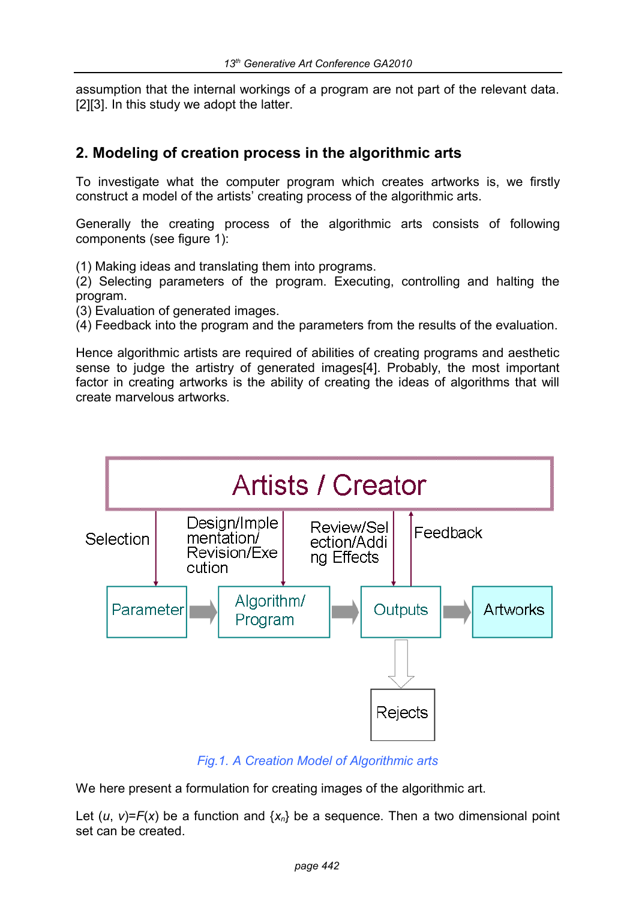assumption that the internal workings of a program are not part of the relevant data. [2][3]. In this study we adopt the latter.

# **2. Modeling of creation process in the algorithmic arts**

To investigate what the computer program which creates artworks is, we firstly construct a model of the artists' creating process of the algorithmic arts.

Generally the creating process of the algorithmic arts consists of following components (see figure 1):

(1) Making ideas and translating them into programs.

(2) Selecting parameters of the program. Executing, controlling and halting the program.

(3) Evaluation of generated images.

(4) Feedback into the program and the parameters from the results of the evaluation.

Hence algorithmic artists are required of abilities of creating programs and aesthetic sense to judge the artistry of generated images[4]. Probably, the most important factor in creating artworks is the ability of creating the ideas of algorithms that will create marvelous artworks.



# *Fig.1. A Creation Model of Algorithmic arts*

We here present a formulation for creating images of the algorithmic art.

Let  $(u, v)=F(x)$  be a function and  $\{x_n\}$  be a sequence. Then a two dimensional point set can be created.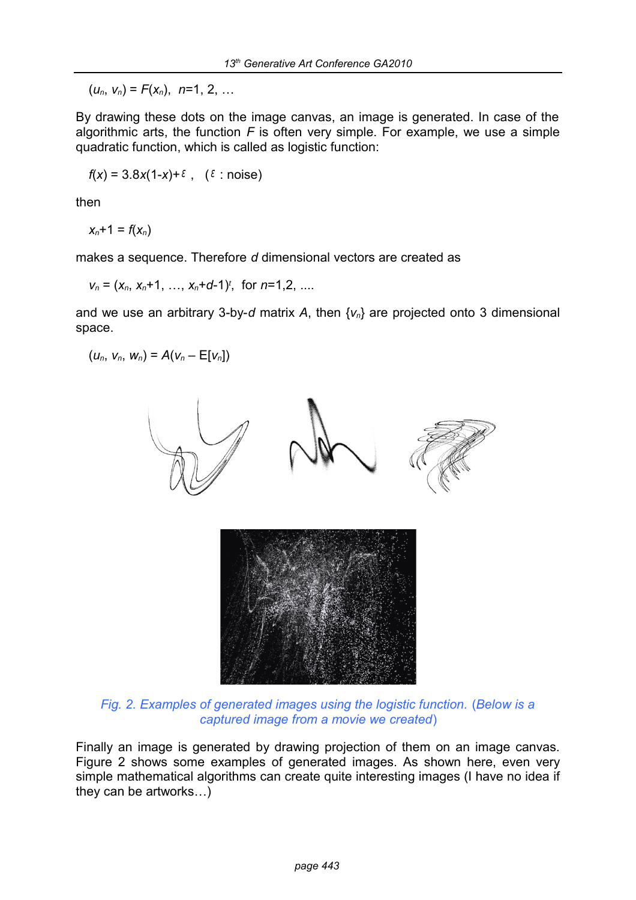$(u_n, v_n) = F(x_n), n=1, 2, ...$ 

By drawing these dots on the image canvas, an image is generated. In case of the algorithmic arts, the function *F* is often very simple. For example, we use a simple quadratic function, which is called as logistic function:

 $f(x) = 3.8x(1-x)+\epsilon$ , ( $\epsilon$  : noise)

then

 $x_n + 1 = f(x_n)$ 

makes a sequence. Therefore *d* dimensional vectors are created as

$$
v_n = (x_n, x_n+1, ..., x_n+d-1)^t
$$
, for  $n=1,2, ...$ 

and we use an arbitrary 3-by-*d* matrix *A*, then {*v*n} are projected onto 3 dimensional space.

 $(u_n, v_n, w_n) = A(v_n - E[v_n])$ 



*Fig. 2. Examples of generated images using the logistic function.* (*Below is a captured image from a movie we created*)

Finally an image is generated by drawing projection of them on an image canvas. Figure 2 shows some examples of generated images. As shown here, even very simple mathematical algorithms can create quite interesting images (I have no idea if they can be artworks…)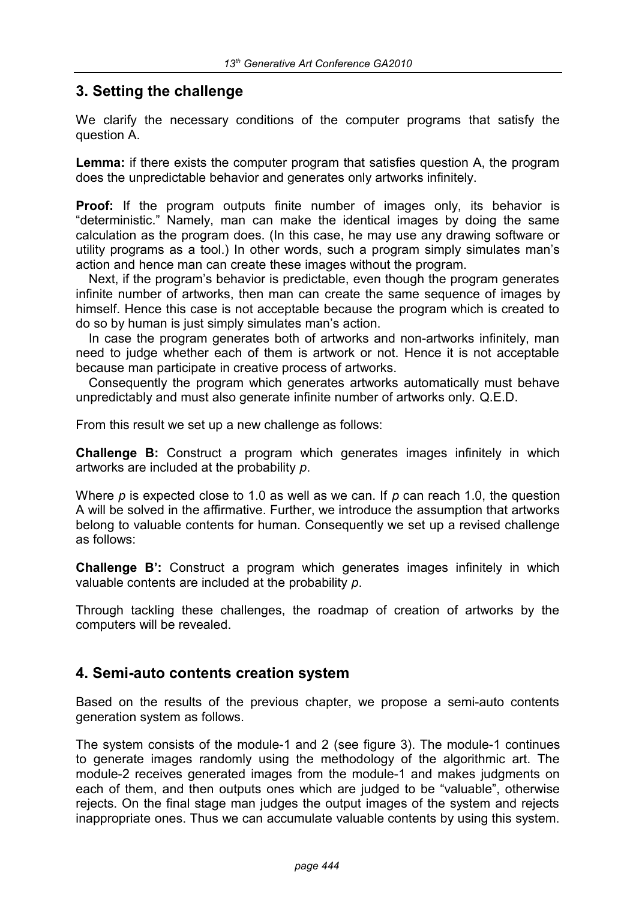# **3. Setting the challenge**

We clarify the necessary conditions of the computer programs that satisfy the question A.

**Lemma:** if there exists the computer program that satisfies question A, the program does the unpredictable behavior and generates only artworks infinitely.

**Proof:** If the program outputs finite number of images only, its behavior is "deterministic." Namely, man can make the identical images by doing the same calculation as the program does. (In this case, he may use any drawing software or utility programs as a tool.) In other words, such a program simply simulates man's action and hence man can create these images without the program.

Next, if the program's behavior is predictable, even though the program generates infinite number of artworks, then man can create the same sequence of images by himself. Hence this case is not acceptable because the program which is created to do so by human is just simply simulates man's action.

In case the program generates both of artworks and non-artworks infinitely, man need to judge whether each of them is artwork or not. Hence it is not acceptable because man participate in creative process of artworks.

Consequently the program which generates artworks automatically must behave unpredictably and must also generate infinite number of artworks only. Q.E.D.

From this result we set up a new challenge as follows:

**Challenge B:** Construct a program which generates images infinitely in which artworks are included at the probability *p*.

Where *p* is expected close to 1.0 as well as we can. If *p* can reach 1.0, the question A will be solved in the affirmative. Further, we introduce the assumption that artworks belong to valuable contents for human. Consequently we set up a revised challenge as follows:

**Challenge B':** Construct a program which generates images infinitely in which valuable contents are included at the probability *p*.

Through tackling these challenges, the roadmap of creation of artworks by the computers will be revealed.

# **4. Semi-auto contents creation system**

Based on the results of the previous chapter, we propose a semi-auto contents generation system as follows.

The system consists of the module-1 and 2 (see figure 3). The module-1 continues to generate images randomly using the methodology of the algorithmic art. The module-2 receives generated images from the module-1 and makes judgments on each of them, and then outputs ones which are judged to be "valuable", otherwise rejects. On the final stage man judges the output images of the system and rejects inappropriate ones. Thus we can accumulate valuable contents by using this system.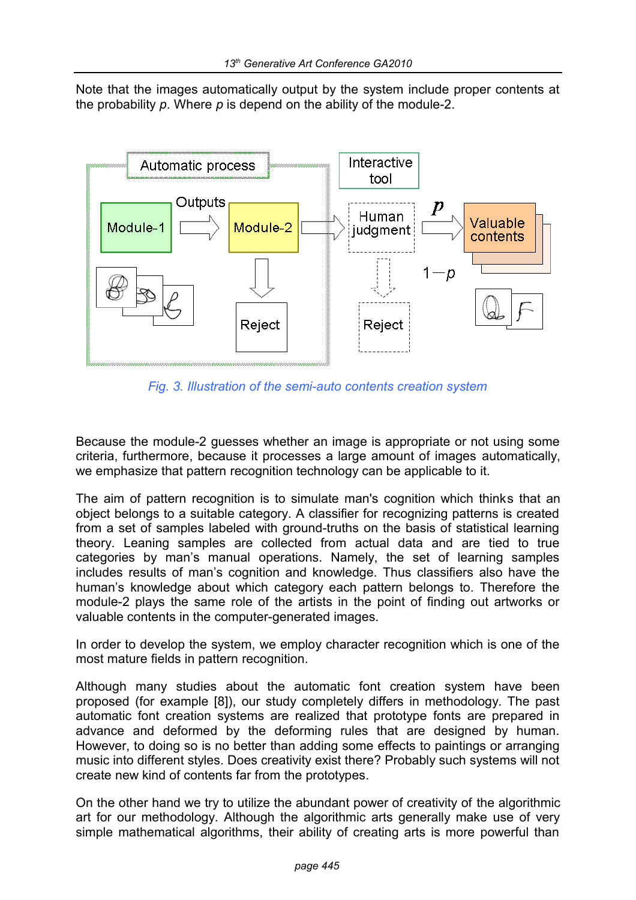Note that the images automatically output by the system include proper contents at the probability *p*. Where *p* is depend on the ability of the module-2.



*Fig. 3. Illustration of the semi-auto contents creation system*

Because the module-2 guesses whether an image is appropriate or not using some criteria, furthermore, because it processes a large amount of images automatically, we emphasize that pattern recognition technology can be applicable to it.

The aim of pattern recognition is to simulate man's cognition which thinks that an object belongs to a suitable category. A classifier for recognizing patterns is created from a set of samples labeled with ground-truths on the basis of statistical learning theory. Leaning samples are collected from actual data and are tied to true categories by man's manual operations. Namely, the set of learning samples includes results of man's cognition and knowledge. Thus classifiers also have the human's knowledge about which category each pattern belongs to. Therefore the module-2 plays the same role of the artists in the point of finding out artworks or valuable contents in the computer-generated images.

In order to develop the system, we employ character recognition which is one of the most mature fields in pattern recognition.

Although many studies about the automatic font creation system have been proposed (for example [8]), our study completely differs in methodology. The past automatic font creation systems are realized that prototype fonts are prepared in advance and deformed by the deforming rules that are designed by human. However, to doing so is no better than adding some effects to paintings or arranging music into different styles. Does creativity exist there? Probably such systems will not create new kind of contents far from the prototypes.

On the other hand we try to utilize the abundant power of creativity of the algorithmic art for our methodology. Although the algorithmic arts generally make use of very simple mathematical algorithms, their ability of creating arts is more powerful than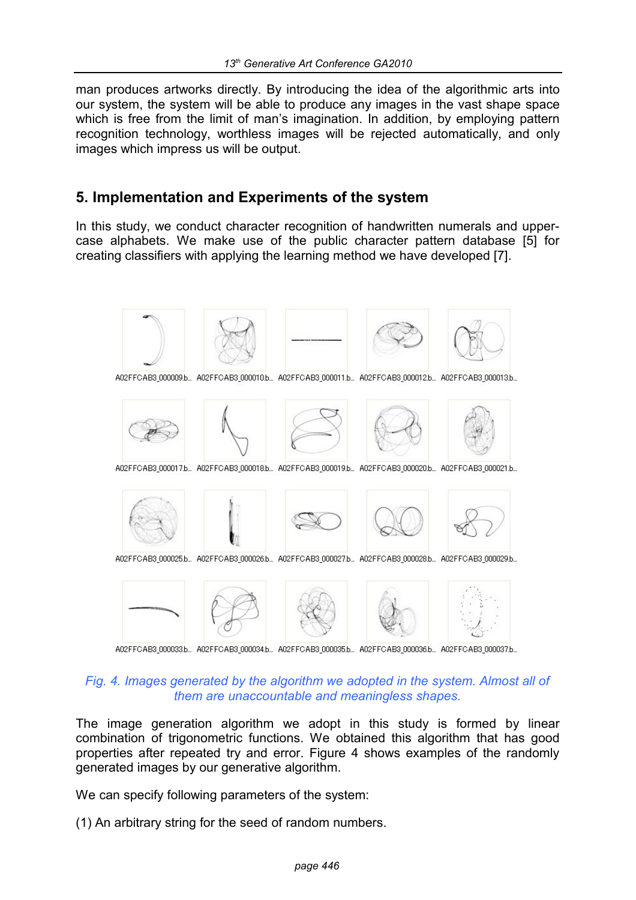man produces artworks directly. By introducing the idea of the algorithmic arts into our system, the system will be able to produce any images in the vast shape space which is free from the limit of man's imagination. In addition, by employing pattern recognition technology, worthless images will be rejected automatically, and only images which impress us will be output.

# **5. Implementation and Experiments of the system**

In this study, we conduct character recognition of handwritten numerals and uppercase alphabets. We make use of the public character pattern database [5] for creating classifiers with applying the learning method we have developed [7].



#### *Fig. 4. Images generated by the algorithm we adopted in the system. Almost all of them are unaccountable and meaningless shapes.*

The image generation algorithm we adopt in this study is formed by linear combination of trigonometric functions. We obtained this algorithm that has good properties after repeated try and error. Figure 4 shows examples of the randomly generated images by our generative algorithm.

We can specify following parameters of the system:

(1) An arbitrary string for the seed of random numbers.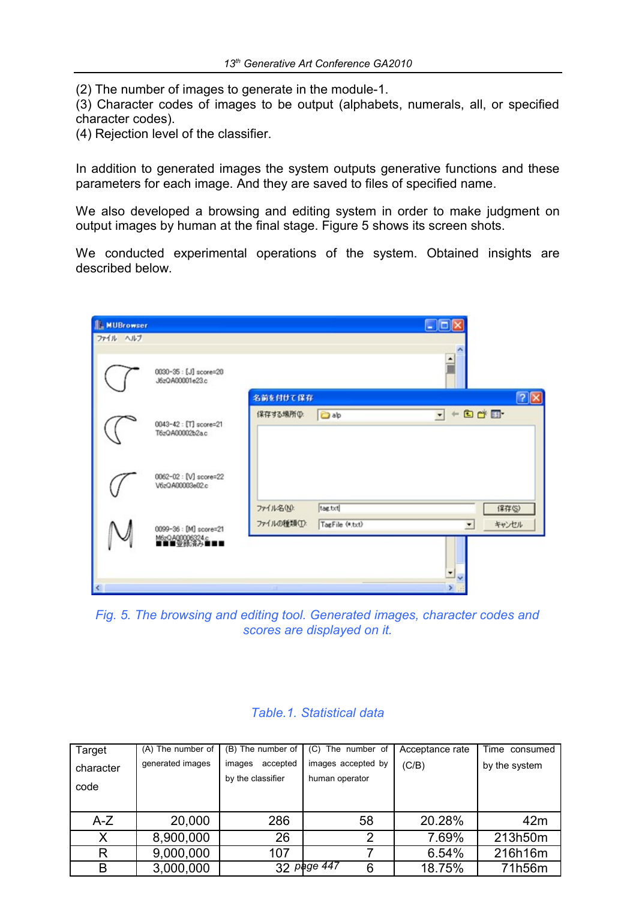(2) The number of images to generate in the module-1.

(3) Character codes of images to be output (alphabets, numerals, all, or specified character codes).

(4) Rejection level of the classifier.

In addition to generated images the system outputs generative functions and these parameters for each image. And they are saved to files of specified name.

We also developed a browsing and editing system in order to make judgment on output images by human at the final stage. Figure 5 shows its screen shots.

We conducted experimental operations of the system. Obtained insights are described below.

| <b>IL MUBrowser</b><br>ファイル ヘルプ |                                                          |                          |                            | - 10                                            |                |
|---------------------------------|----------------------------------------------------------|--------------------------|----------------------------|-------------------------------------------------|----------------|
|                                 | 0030-35 : [J] score=20<br>J6zQA00001e23.c                | 名前を付けて保存                 |                            |                                                 | $ ?  \times$   |
|                                 | 0043-42 : [T] score=21<br>T6zQA00002b2a.c                | 保存する場所(D:                | ab <sub>ab</sub>           | $+ 0$ of $\blacksquare$<br>$\blacktriangledown$ |                |
|                                 | 0062-02 : [V] score=22<br>V6zQA00003e02.c                |                          |                            |                                                 |                |
|                                 | 0099-36 : [M] score=21<br>M6zQA00006324.c<br>■■■■愛録活分■■■ | ファイル名(N):<br>ファイルの種類(T): | tag.txt<br>TagFile (*.txt) | $\overline{\phantom{a}}$                        | 保存(S)<br>キャンセル |
| K                               |                                                          |                          |                            | ۳                                               |                |

*Fig. 5. The browsing and editing tool. Generated images, character codes and scores are displayed on it.*

| Target            | (A) The number of | $(B)$ The number of $\vert$             | (C) The number of                    | Acceptance rate | Time consumed   |
|-------------------|-------------------|-----------------------------------------|--------------------------------------|-----------------|-----------------|
| character<br>code | generated images  | accepted<br>images<br>by the classifier | images accepted by<br>human operator | (C/B)           | by the system   |
| $A-Z$             | 20,000            | 286                                     | 58                                   | 20.28%          | 42 <sub>m</sub> |
| X                 | 8,900,000         | 26                                      | 2                                    | 7.69%           | 213h50m         |
| R                 | 9,000,000         | 107                                     |                                      | 6.54%           | 216h16m         |
| B                 | 3,000,000         |                                         | 32 page 447<br>6                     | 18.75%          | 71h56m          |
|                   |                   |                                         |                                      |                 |                 |

#### *Table.1. Statistical data*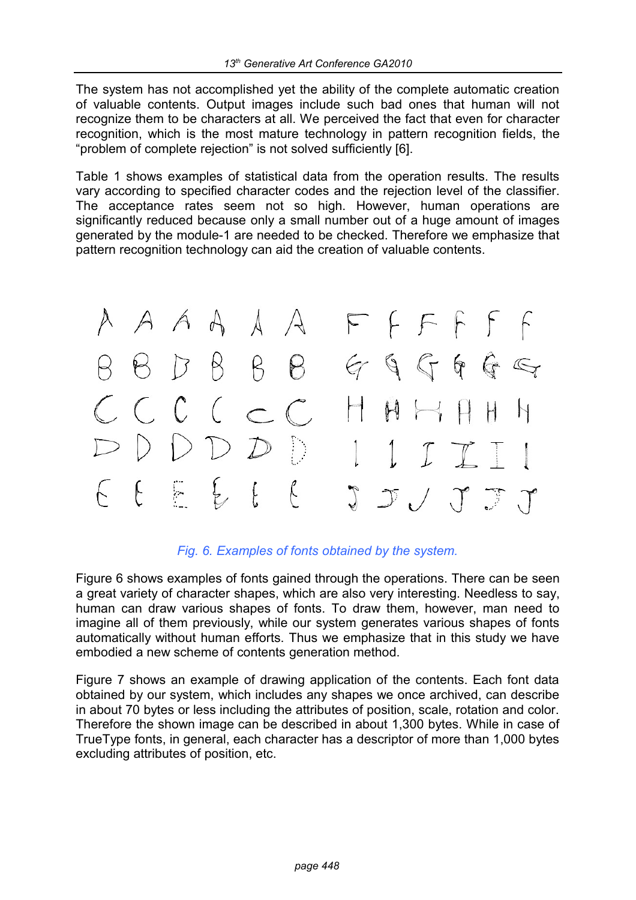The system has not accomplished yet the ability of the complete automatic creation of valuable contents. Output images include such bad ones that human will not recognize them to be characters at all. We perceived the fact that even for character recognition, which is the most mature technology in pattern recognition fields, the "problem of complete rejection" is not solved sufficiently [6].

Table 1 shows examples of statistical data from the operation results. The results vary according to specified character codes and the rejection level of the classifier. The acceptance rates seem not so high. However, human operations are significantly reduced because only a small number out of a huge amount of images generated by the module-1 are needed to be checked. Therefore we emphasize that pattern recognition technology can aid the creation of valuable contents.



#### *Fig. 6. Examples of fonts obtained by the system.*

Figure 6 shows examples of fonts gained through the operations. There can be seen a great variety of character shapes, which are also very interesting. Needless to say, human can draw various shapes of fonts. To draw them, however, man need to imagine all of them previously, while our system generates various shapes of fonts automatically without human efforts. Thus we emphasize that in this study we have embodied a new scheme of contents generation method.

Figure 7 shows an example of drawing application of the contents. Each font data obtained by our system, which includes any shapes we once archived, can describe in about 70 bytes or less including the attributes of position, scale, rotation and color. Therefore the shown image can be described in about 1,300 bytes. While in case of TrueType fonts, in general, each character has a descriptor of more than 1,000 bytes excluding attributes of position, etc.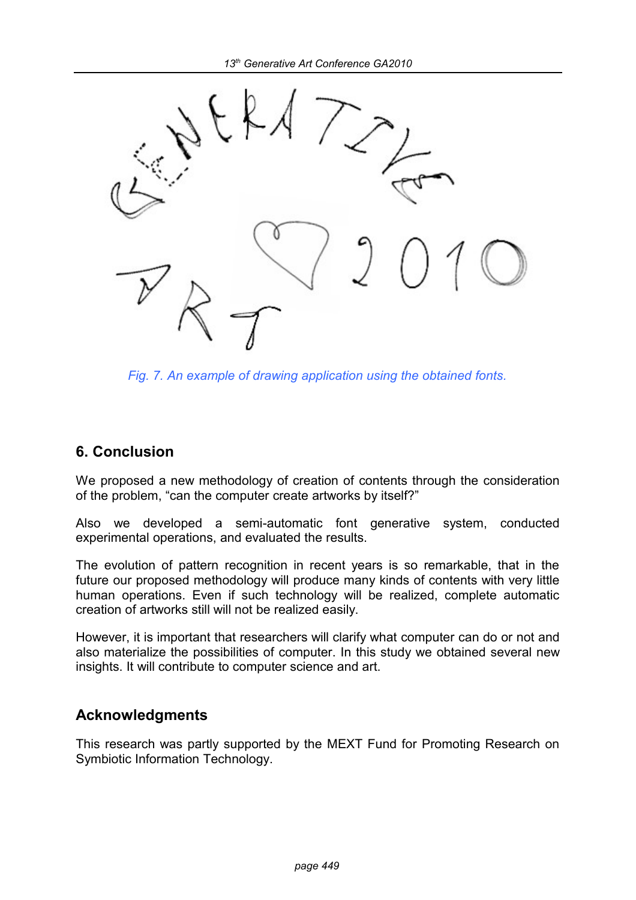

*Fig. 7. An example of drawing application using the obtained fonts.*

# **6. Conclusion**

We proposed a new methodology of creation of contents through the consideration of the problem, "can the computer create artworks by itself?"

Also we developed a semi-automatic font generative system, conducted experimental operations, and evaluated the results.

The evolution of pattern recognition in recent years is so remarkable, that in the future our proposed methodology will produce many kinds of contents with very little human operations. Even if such technology will be realized, complete automatic creation of artworks still will not be realized easily.

However, it is important that researchers will clarify what computer can do or not and also materialize the possibilities of computer. In this study we obtained several new insights. It will contribute to computer science and art.

# **Acknowledgments**

This research was partly supported by the MEXT Fund for Promoting Research on Symbiotic Information Technology.